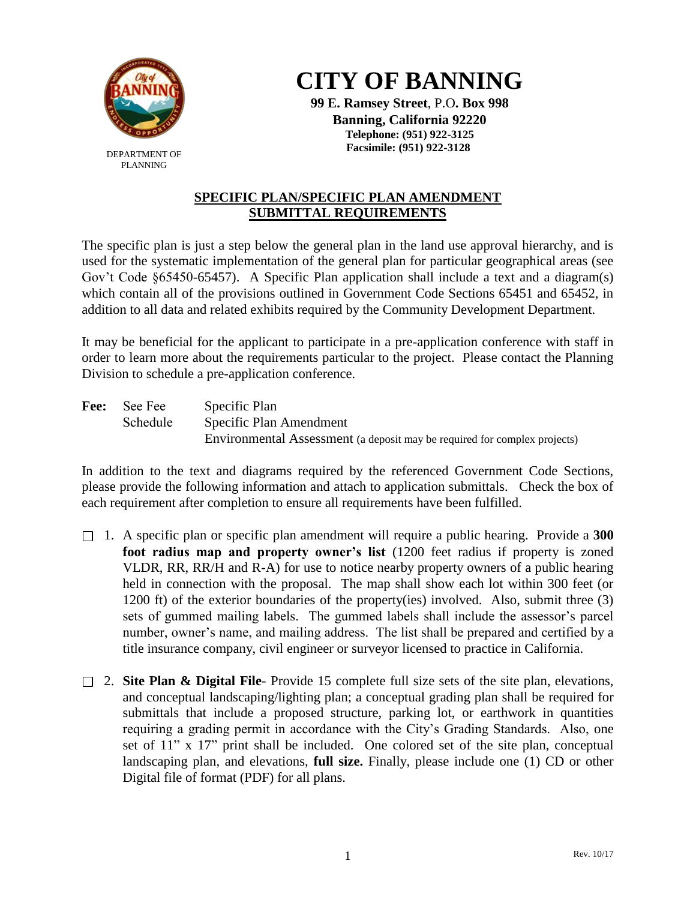

DEPARTMENT OF PLANNING



**99 E. Ramsey Street**, P.O**. Box 998 Banning, California 92220 Telephone: (951) 922-3125 Facsimile: (951) 922-3128**

## **SPECIFIC PLAN/SPECIFIC PLAN AMENDMENT SUBMITTAL REQUIREMENTS**

The specific plan is just a step below the general plan in the land use approval hierarchy, and is used for the systematic implementation of the general plan for particular geographical areas (see Gov't Code §65450-65457). A Specific Plan application shall include a text and a diagram(s) which contain all of the provisions outlined in Government Code Sections 65451 and 65452, in addition to all data and related exhibits required by the Community Development Department.

It may be beneficial for the applicant to participate in a pre-application conference with staff in order to learn more about the requirements particular to the project. Please contact the Planning Division to schedule a pre-application conference.

Fee: See Fee Specific Plan Schedule Specific Plan Amendment Environmental Assessment (a deposit may be required for complex projects)

In addition to the text and diagrams required by the referenced Government Code Sections, please provide the following information and attach to application submittals. Check the box of each requirement after completion to ensure all requirements have been fulfilled.

- 1. A specific plan or specific plan amendment will require a public hearing. Provide a **300 foot radius map and property owner's list** (1200 feet radius if property is zoned VLDR, RR, RR/H and R-A) for use to notice nearby property owners of a public hearing held in connection with the proposal. The map shall show each lot within 300 feet (or 1200 ft) of the exterior boundaries of the property(ies) involved. Also, submit three (3) sets of gummed mailing labels. The gummed labels shall include the assessor's parcel number, owner's name, and mailing address. The list shall be prepared and certified by a title insurance company, civil engineer or surveyor licensed to practice in California.
- 2. **Site Plan & Digital File** Provide 15 complete full size sets of the site plan, elevations, and conceptual landscaping/lighting plan; a conceptual grading plan shall be required for submittals that include a proposed structure, parking lot, or earthwork in quantities requiring a grading permit in accordance with the City's Grading Standards. Also, one set of 11" x 17" print shall be included. One colored set of the site plan, conceptual landscaping plan, and elevations, **full size.** Finally, please include one (1) CD or other Digital file of format (PDF) for all plans.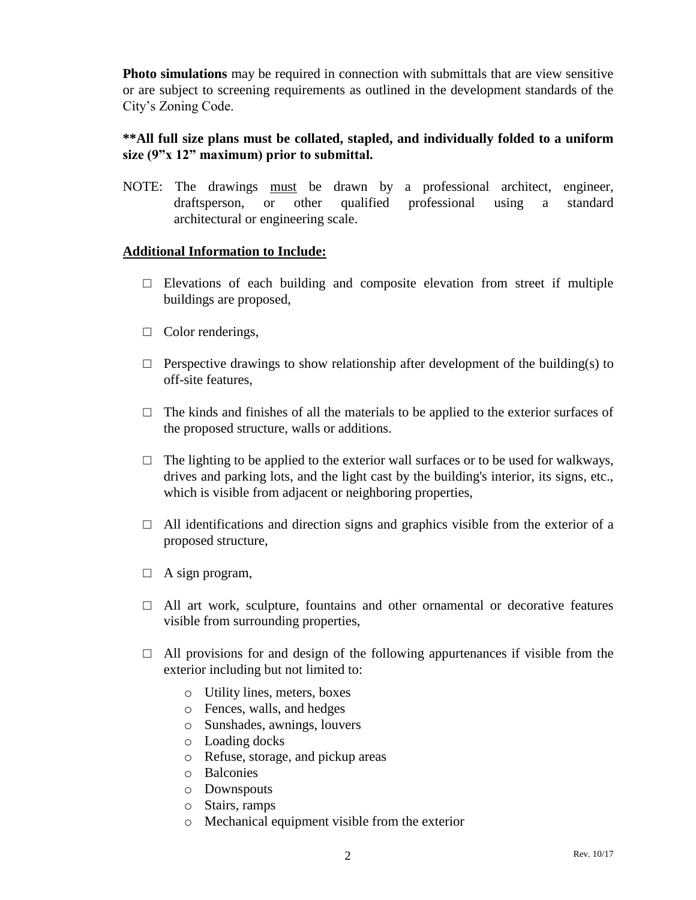**Photo simulations** may be required in connection with submittals that are view sensitive or are subject to screening requirements as outlined in the development standards of the City's Zoning Code.

## **\*\*All full size plans must be collated, stapled, and individually folded to a uniform size (9"x 12" maximum) prior to submittal.**

NOTE: The drawings must be drawn by a professional architect, engineer, draftsperson, or other qualified professional using a standard architectural or engineering scale.

## **Additional Information to Include:**

- $\square$  Elevations of each building and composite elevation from street if multiple buildings are proposed,
- □ Color renderings,
- $\Box$  Perspective drawings to show relationship after development of the building(s) to off-site features,
- $\Box$  The kinds and finishes of all the materials to be applied to the exterior surfaces of the proposed structure, walls or additions.
- $\Box$  The lighting to be applied to the exterior wall surfaces or to be used for walkways, drives and parking lots, and the light cast by the building's interior, its signs, etc., which is visible from adjacent or neighboring properties,
- $\Box$  All identifications and direction signs and graphics visible from the exterior of a proposed structure,
- $\Box$  A sign program,
- $\Box$  All art work, sculpture, fountains and other ornamental or decorative features visible from surrounding properties,
- $\Box$  All provisions for and design of the following appurtenances if visible from the exterior including but not limited to:
	- o Utility lines, meters, boxes
	- o Fences, walls, and hedges
	- o Sunshades, awnings, louvers
	- o Loading docks
	- o Refuse, storage, and pickup areas
	- o Balconies
	- o Downspouts
	- o Stairs, ramps
	- o Mechanical equipment visible from the exterior